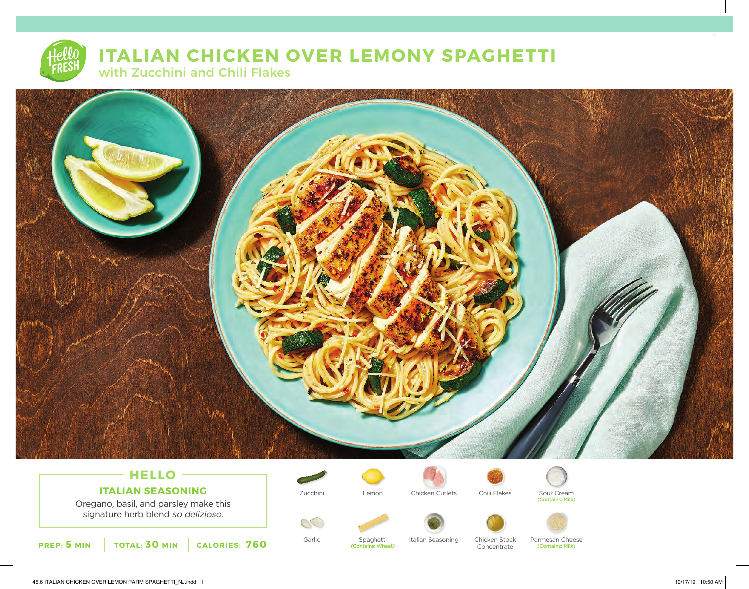# **ITALIAN CHICKEN OVER LEMONY SPAGHETTI**

with Zucchini and Chili Flakes



# **HELLO ITALIAN SEASONING**

Oregano, basil, and parsley make this signature herb blend so delizioso.

**PREP: 5 MIN TOTAL: 30 MIN CALORIES: 760**

 $\mathcal{C}$ 



Spaghetti (Contains: Wheat)



Concentrate



Zucchini Chicken Cutlets Chili Flakes Sour Cream (Contains: Milk)





Parmesan Cheese (Contains: Milk)

45.6 ITALIAN CHICKEN OVER LEMON PARM SPAGHETTI\_NJ.indd 1 10/17/19 10:50 AM